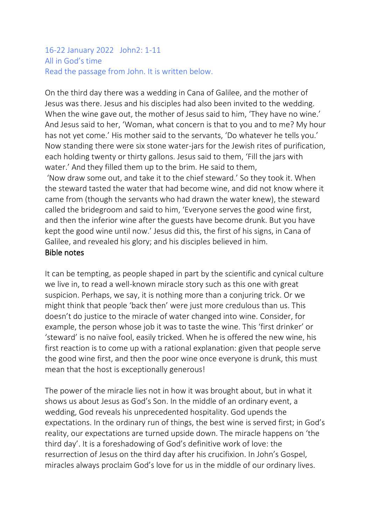#### 16-22 January 2022 John2: 1-11 All in God's time Read the passage from John. It is written below.

On the third day there was a wedding in Cana of Galilee, and the mother of Jesus was there. Jesus and his disciples had also been invited to the wedding. When the wine gave out, the mother of Jesus said to him, 'They have no wine.' And Jesus said to her, 'Woman, what concern is that to you and to me? My hour has not yet come.' His mother said to the servants, 'Do whatever he tells you.' Now standing there were six stone water-jars for the Jewish rites of purification, each holding twenty or thirty gallons. Jesus said to them, 'Fill the jars with water.' And they filled them up to the brim. He said to them,

'Now draw some out, and take it to the chief steward.' So they took it. When the steward tasted the water that had become wine, and did not know where it came from (though the servants who had drawn the water knew), the steward called the bridegroom and said to him, 'Everyone serves the good wine first, and then the inferior wine after the guests have become drunk. But you have kept the good wine until now.' Jesus did this, the first of his signs, in Cana of Galilee, and revealed his glory; and his disciples believed in him. Bible notes

It can be tempting, as people shaped in part by the scientific and cynical culture we live in, to read a well-known miracle story such as this one with great suspicion. Perhaps, we say, it is nothing more than a conjuring trick. Or we might think that people 'back then' were just more credulous than us. This doesn't do justice to the miracle of water changed into wine. Consider, for example, the person whose job it was to taste the wine. This 'first drinker' or 'steward' is no naïve fool, easily tricked. When he is offered the new wine, his first reaction is to come up with a rational explanation: given that people serve the good wine first, and then the poor wine once everyone is drunk, this must mean that the host is exceptionally generous!

The power of the miracle lies not in how it was brought about, but in what it shows us about Jesus as God's Son. In the middle of an ordinary event, a wedding, God reveals his unprecedented hospitality. God upends the expectations. In the ordinary run of things, the best wine is served first; in God's reality, our expectations are turned upside down. The miracle happens on 'the third day'. It is a foreshadowing of God's definitive work of love: the resurrection of Jesus on the third day after his crucifixion. In John's Gospel, miracles always proclaim God's love for us in the middle of our ordinary lives.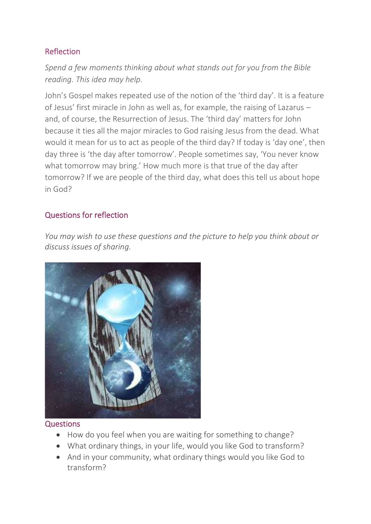## Reflection

*Spend a few moments thinking about what stands out for you from the Bible reading. This idea may help.*

John's Gospel makes repeated use of the notion of the 'third day'. It is a feature of Jesus' first miracle in John as well as, for example, the raising of Lazarus – and, of course, the Resurrection of Jesus. The 'third day' matters for John because it ties all the major miracles to God raising Jesus from the dead. What would it mean for us to act as people of the third day? If today is 'day one', then day three is 'the day after tomorrow'. People sometimes say, 'You never know what tomorrow may bring.' How much more is that true of the day after tomorrow? If we are people of the third day, what does this tell us about hope in God?

### Questions for reflection

*You may wish to use these questions and the picture to help you think about or discuss issues of sharing.*



#### **Questions**

- How do you feel when you are waiting for something to change?
- What ordinary things, in your life, would you like God to transform?
- And in your community, what ordinary things would you like God to transform?